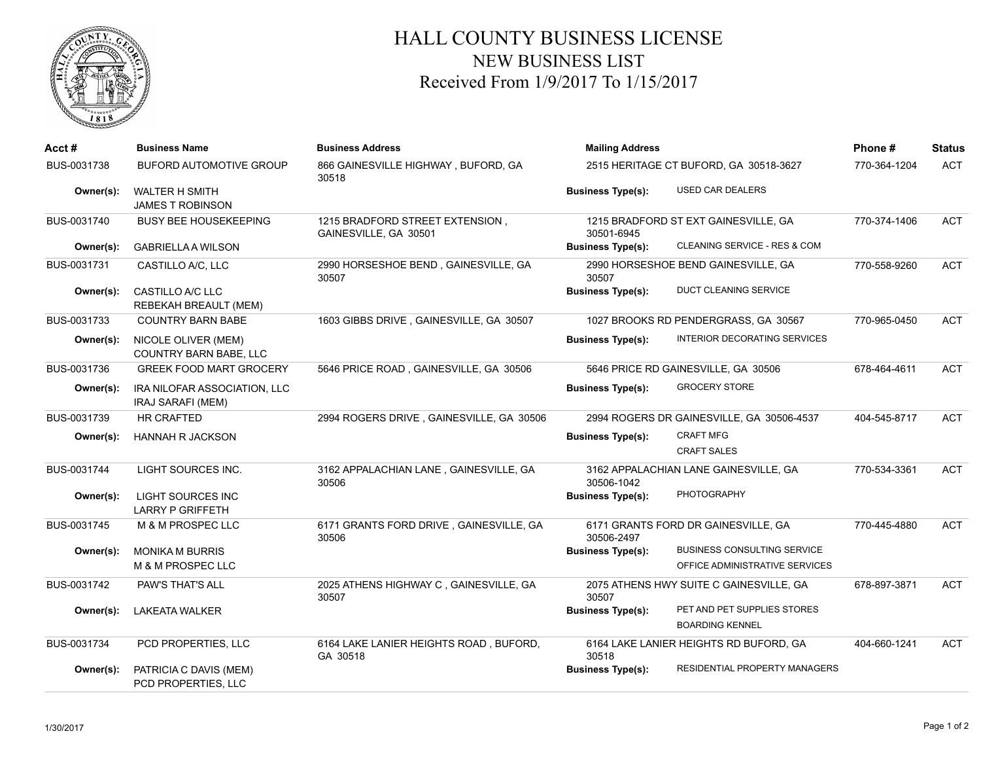

## HALL COUNTY BUSINESS LICENSE NEW BUSINESS LIST Received From 1/9/2017 To 1/15/2017

| Acct#       | <b>Business Name</b>                                 | <b>Business Address</b>                                  | <b>Mailing Address</b>                                           | Phone#       | <b>Status</b> |
|-------------|------------------------------------------------------|----------------------------------------------------------|------------------------------------------------------------------|--------------|---------------|
| BUS-0031738 | <b>BUFORD AUTOMOTIVE GROUP</b>                       | 866 GAINESVILLE HIGHWAY, BUFORD, GA<br>30518             | 2515 HERITAGE CT BUFORD, GA 30518-3627                           | 770-364-1204 | <b>ACT</b>    |
| Owner(s):   | <b>WALTER H SMITH</b><br><b>JAMES T ROBINSON</b>     |                                                          | USED CAR DEALERS<br><b>Business Type(s):</b>                     |              |               |
| BUS-0031740 | <b>BUSY BEE HOUSEKEEPING</b>                         | 1215 BRADFORD STREET EXTENSION,<br>GAINESVILLE, GA 30501 | 1215 BRADFORD ST EXT GAINESVILLE, GA<br>30501-6945               | 770-374-1406 | <b>ACT</b>    |
| Owner(s):   | <b>GABRIELLA A WILSON</b>                            |                                                          | CLEANING SERVICE - RES & COM<br><b>Business Type(s):</b>         |              |               |
| BUS-0031731 | CASTILLO A/C, LLC                                    | 2990 HORSESHOE BEND, GAINESVILLE, GA<br>30507            | 2990 HORSESHOE BEND GAINESVILLE, GA<br>30507                     | 770-558-9260 | <b>ACT</b>    |
| Owner(s):   | CASTILLO A/C LLC<br><b>REBEKAH BREAULT (MEM)</b>     |                                                          | <b>DUCT CLEANING SERVICE</b><br><b>Business Type(s):</b>         |              |               |
| BUS-0031733 | <b>COUNTRY BARN BABE</b>                             | 1603 GIBBS DRIVE, GAINESVILLE, GA 30507                  | 1027 BROOKS RD PENDERGRASS, GA 30567                             | 770-965-0450 | <b>ACT</b>    |
| Owner(s):   | NICOLE OLIVER (MEM)<br><b>COUNTRY BARN BABE, LLC</b> |                                                          | INTERIOR DECORATING SERVICES<br><b>Business Type(s):</b>         |              |               |
| BUS-0031736 | <b>GREEK FOOD MART GROCERY</b>                       | 5646 PRICE ROAD, GAINESVILLE, GA 30506                   | 5646 PRICE RD GAINESVILLE, GA 30506                              | 678-464-4611 | <b>ACT</b>    |
| Owner(s):   | IRA NILOFAR ASSOCIATION, LLC<br>IRAJ SARAFI (MEM)    |                                                          | <b>GROCERY STORE</b><br><b>Business Type(s):</b>                 |              |               |
| BUS-0031739 | <b>HR CRAFTED</b>                                    | 2994 ROGERS DRIVE, GAINESVILLE, GA 30506                 | 2994 ROGERS DR GAINESVILLE, GA 30506-4537                        | 404-545-8717 | <b>ACT</b>    |
| Owner(s):   | <b>HANNAH R JACKSON</b>                              |                                                          | <b>CRAFT MFG</b><br><b>Business Type(s):</b>                     |              |               |
|             |                                                      |                                                          | <b>CRAFT SALES</b>                                               |              |               |
| BUS-0031744 | LIGHT SOURCES INC.                                   | 3162 APPALACHIAN LANE, GAINESVILLE, GA<br>30506          | 3162 APPALACHIAN LANE GAINESVILLE, GA<br>30506-1042              | 770-534-3361 | <b>ACT</b>    |
| Owner(s):   | <b>LIGHT SOURCES INC</b>                             |                                                          | <b>PHOTOGRAPHY</b><br><b>Business Type(s):</b>                   |              |               |
|             | <b>LARRY P GRIFFETH</b>                              |                                                          |                                                                  |              |               |
| BUS-0031745 | M & M PROSPEC LLC                                    | 6171 GRANTS FORD DRIVE, GAINESVILLE, GA<br>30506         | 6171 GRANTS FORD DR GAINESVILLE, GA<br>30506-2497                | 770-445-4880 | <b>ACT</b>    |
| Owner(s):   | <b>MONIKA M BURRIS</b>                               |                                                          | <b>BUSINESS CONSULTING SERVICE</b><br><b>Business Type(s):</b>   |              |               |
|             | M & M PROSPEC LLC                                    |                                                          | OFFICE ADMINISTRATIVE SERVICES                                   |              |               |
| BUS-0031742 | PAW'S THAT'S ALL                                     | 2025 ATHENS HIGHWAY C, GAINESVILLE, GA<br>30507          | 2075 ATHENS HWY SUITE C GAINESVILLE, GA<br>30507                 | 678-897-3871 | <b>ACT</b>    |
| Owner(s):   | <b>LAKEATA WALKER</b>                                |                                                          | PET AND PET SUPPLIES STORES<br><b>Business Type(s):</b>          |              |               |
|             |                                                      |                                                          | <b>BOARDING KENNEL</b>                                           |              |               |
| BUS-0031734 | PCD PROPERTIES, LLC                                  | 6164 LAKE LANIER HEIGHTS ROAD, BUFORD,<br>GA 30518       | 6164 LAKE LANIER HEIGHTS RD BUFORD, GA<br>30518                  | 404-660-1241 | <b>ACT</b>    |
| Owner(s):   | PATRICIA C DAVIS (MEM)                               |                                                          | <b>RESIDENTIAL PROPERTY MANAGERS</b><br><b>Business Type(s):</b> |              |               |
|             | PCD PROPERTIES, LLC                                  |                                                          |                                                                  |              |               |